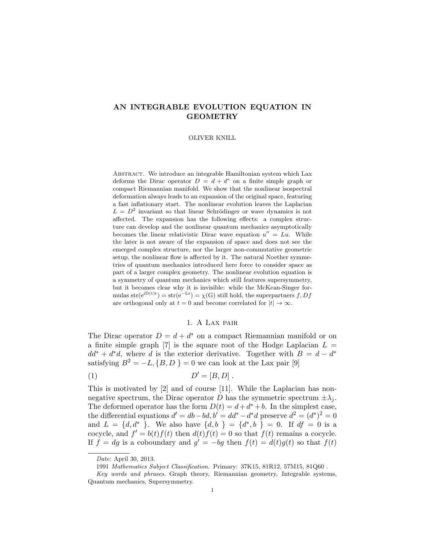# AN INTEGRABLE EVOLUTION EQUATION IN GEOMETRY

#### OLIVER KNILL

Abstract. We introduce an integrable Hamiltonian system which Lax deforms the Dirac operator  $D = d + d^*$  on a finite simple graph or compact Riemannian manifold. We show that the nonlinear isospectral deformation always leads to an expansion of the original space, featuring a fast inflationary start. The nonlinear evolution leaves the Laplacian  $L = D<sup>2</sup>$  invariant so that linear Schrödinger or wave dynamics is not affected. The expansion has the following effects: a complex structure can develop and the nonlinear quantum mechanics asymptotically becomes the linear relativistic Dirac wave equation  $u'' = Lu$ . While the later is not aware of the expansion of space and does not see the emerged complex structure, nor the larger non-commutative geometric setup, the nonlinear flow is affected by it. The natural Noether symmetries of quantum mechanics introduced here force to consider space as part of a larger complex geometry. The nonlinear evolution equation is a symmetry of quantum mechanics which still features supersymmetry, but it becomes clear why it is invisible: while the McKean-Singer formulas str $(e^{iD(t)t}) = str(e^{-Lt}) = \chi(G)$  still hold, the superpartners f, Df are orthogonal only at  $t = 0$  and become correlated for  $|t| \to \infty$ .

# 1. A Lax pair

The Dirac operator  $D = d + d^*$  on a compact Riemannian manifold or on a finite simple graph [7] is the square root of the Hodge Laplacian  $L =$  $dd^* + d^*d$ , where d is the exterior derivative. Together with  $B = d - d^*$ satisfying  $B^2 = -L$ ,  $\{B, D\} = 0$  we can look at the Lax pair [9]

$$
(1) \tD' = [B, D] .
$$

This is motivated by [2] and of course [11]. While the Laplacian has nonnegative spectrum, the Dirac operator D has the symmetric spectrum  $\pm \lambda_i$ . The deformed operator has the form  $D(t) = d + d^* + b$ . In the simplest case, the differential equations  $d' = db - bd, b' = dd^* - d^*d$  preserve  $d^2 = (d^*)^2 = 0$ and  $L = \{d, d^*\}$ . We also have  $\{d, b\} = \{d^*, b\} = 0$ . If  $df = 0$  is a cocycle, and  $f' = b(t) f(t)$  then  $d(t) f(t) = 0$  so that  $f(t)$  remains a cocycle. If  $f = dg$  is a coboundary and  $g' = -bg$  then  $f(t) = d(t)g(t)$  so that  $f(t)$ 

Date: April 30, 2013.

<sup>1991</sup> Mathematics Subject Classification. Primary: 37K15, 81R12, 57M15, 81Q60 .

Key words and phrases. Graph theory, Riemannian geometry, Integrable systems, Quantum mechanics, Supersymmetry.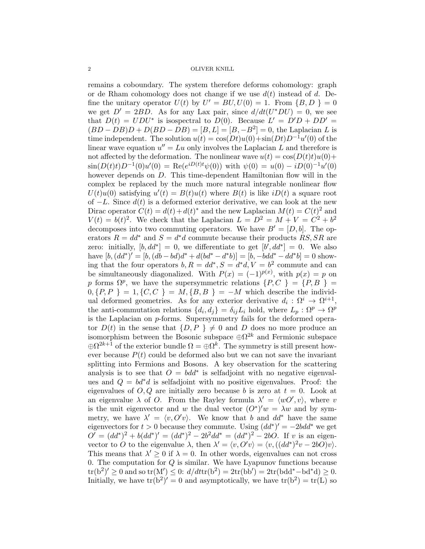remains a coboundary. The system therefore deforms cohomology: graph or de Rham cohomology does not change if we use  $d(t)$  instead of d. Define the unitary operator  $U(t)$  by  $U' = BU, U(0) = 1$ . From  $\{B, D\} = 0$ we get  $D' = 2BD$ . As for any Lax pair, since  $d/dt(U^*DU) = 0$ , we see that  $D(t) = UDU^*$  is isospectral to  $D(0)$ . Because  $L' = D'D + DD' =$  $(BD - DB)D + D(BD - DB) = [B, L] = [B, -B^2] = 0$ , the Laplacian L is time independent. The solution  $u(t) = \cos(Dt)u(0) + \sin(Dt)D^{-1}u'(0)$  of the linear wave equation  $u'' = Lu$  only involves the Laplacian L and therefore is not affected by the deformation. The nonlinear wave  $u(t) = \cos(D(t)t)u(0) +$  $\sin(D(t)t)D^{-1}(0)u'(0) = \text{Re}(e^{iD(t)t}\psi(0))$  with  $\psi(0) = u(0) - iD(0)^{-1}u'(0)$ however depends on D. This time-dependent Hamiltonian flow will in the complex be replaced by the much more natural integrable nonlinear flow  $U(t)u(0)$  satisfying  $u'(t) = B(t)u(t)$  where  $B(t)$  is like  $iD(t)$  a square root of  $-L$ . Since  $d(t)$  is a deformed exterior derivative, we can look at the new Dirac operator  $C(t) = d(t) + d(t)^*$  and the new Laplacian  $M(t) = C(t)^2$  and  $V(t) = b(t)^2$ . We check that the Laplacian  $L = D^2 = M + V = C^2 + b^2$ decomposes into two commuting operators. We have  $B' = [D, b]$ . The operators  $R = dd^*$  and  $S = d^*d$  commute because their products  $\overline{RS}, \overline{SR}$  are zero: initially,  $[b, dd^*]=0$ , we differentiate to get  $[b', dd^*]=0$ . We also have  $[b, (dd^*)' = [b, (db - bd)d^* + d(bd^* - d^*b)] = [b, -bdd^* - dd^*b] = 0$  showing that the four operators  $b, R = dd^*, S = d^*d, V = b^2$  commute and can be simultaneously diagonalized. With  $P(x) = (-1)^{p(x)}$ , with  $p(x) = p$  on p forms  $\Omega^p$ , we have the supersymmetric relations  $\{P, C\} = \{P, B\}$  $0, {P, P} = 1, {C, C} = M, {B, B} = -M$  which describe the individual deformed geometries. As for any exterior derivative  $d_i: \Omega^i \to \Omega^{i+1}$ , the anti-commutation relations  $\{d_i, d_j\} = \delta_{ij} L_i$  hold, where  $L_p : \Omega^p \to \Omega^p$ is the Laplacian on  $p$ -forms. Supersymmetry fails for the deformed operator  $D(t)$  in the sense that  $\{D, P\} \neq 0$  and D does no more produce an isomorphism between the Bosonic subspace  $\oplus \Omega^{2k}$  and Fermionic subspace  $\oplus \Omega^{2k+1}$  of the exterior bundle  $\Omega = \oplus \Omega^k$ . The symmetry is still present however because  $P(t)$  could be deformed also but we can not save the invariant splitting into Fermions and Bosons. A key observation for the scattering analysis is to see that  $O = b d d^*$  is selfadjoint with no negative eigenvalues and  $Q = bd^*d$  is selfadjoint with no positive eigenvalues. Proof: the eigenvalues of  $O, Q$  are initially zero because b is zero at  $t = 0$ . Look at an eigenvalue  $\lambda$  of O. From the Rayley formula  $\lambda' = \langle wO', v \rangle$ , where v is the unit eigenvector and w the dual vector  $(O^*)'w = \lambda w$  and by symmetry, we have  $\lambda' = \langle v, O'v \rangle$ . We know that b and  $dd^*$  have the same eigenvectors for  $t > 0$  because they commute. Using  $(dd^*)' = -2bdd^*$  we get  $O' = (dd^*)^2 + b(dd^*)' = (dd^*)^2 - 2b^2dd^* = (dd^*)^2 - 2bO$ . If v is an eigenvector to O to the eigenvalue  $\lambda$ , then  $\lambda' = \langle v, O'v \rangle = \langle v, ((dd^*)^2v - 2bO)v \rangle$ . This means that  $\lambda' \geq 0$  if  $\lambda = 0$ . In other words, eigenvalues can not cross 0. The computation for  $Q$  is similar. We have Lyapunov functions because  $tr(b^2)' \ge 0$  and so  $tr(M') \le 0$ :  $d/dt tr(b^2) = 2tr(bb') = 2tr(bdd^* - bd^*d) \ge 0$ . Initially, we have  $tr(b^2)' = 0$  and asymptotically, we have  $tr(b^2) = tr(L)$  so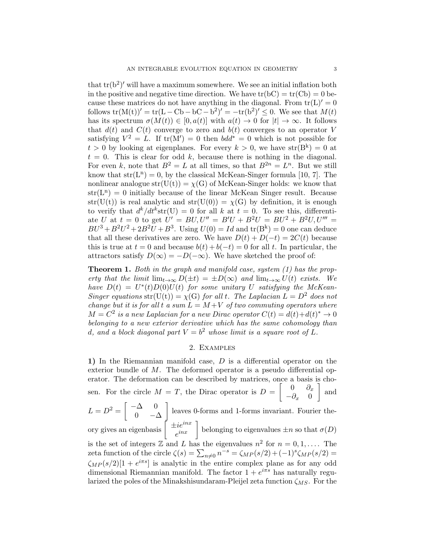that  $tr(b^2)'$  will have a maximum somewhere. We see an initial inflation both in the positive and negative time direction. We have  $tr(bC) = tr(Cb) = 0$  because these matrices do not have anything in the diagonal. From  $tr(L)' = 0$ follows  $tr(M(t))' = tr(L - Cb - bC - b^2)' = -tr(b^2)' \leq 0$ . We see that  $M(t)$ has its spectrum  $\sigma(M(t)) \in [0, a(t)]$  with  $a(t) \to 0$  for  $|t| \to \infty$ . It follows that  $d(t)$  and  $C(t)$  converge to zero and  $b(t)$  converges to an operator V satisfying  $V^2 = L$ . If  $tr(M') = 0$  then  $bdd^* = 0$  which is not possible for  $t > 0$  by looking at eigenplanes. For every  $k > 0$ , we have  $str(B<sup>k</sup>) = 0$  at  $t = 0$ . This is clear for odd k, because there is nothing in the diagonal. For even k, note that  $B^2 = L$  at all times, so that  $B^{2n} = L^n$ . But we still know that  $str(L^n) = 0$ , by the classical McKean-Singer formula [10, 7]. The nonlinear analogue str(U(t)) =  $\chi$ (G) of McKean-Singer holds: we know that  $str(L<sup>n</sup>) = 0$  initially because of the linear McKean Singer result. Because str(U(t)) is real analytic and str(U(0)) =  $\chi$ (G) by definition, it is enough to verify that  $d^k/dt^k$ str $(U) = 0$  for all k at  $t = 0$ . To see this, differentiate U at  $t = 0$  to get  $U' = BU, U'' = B'U + B^2U = BU^2 + B^2U, U''' =$  $BU^3 + B^2U^2 + 2B^2U + B^3$ . Using  $U(0) = Id$  and  $\text{tr}(B^k) = 0$  one can deduce that all these derivatives are zero. We have  $D(t) + D(-t) = 2C(t)$  because this is true at  $t = 0$  and because  $b(t) + b(-t) = 0$  for all t. In particular, the attractors satisfy  $D(\infty) = -D(-\infty)$ . We have sketched the proof of:

**Theorem 1.** Both in the graph and manifold case, system  $(1)$  has the property that the limit  $\lim_{t\to\infty} D(\pm t) = \pm D(\infty)$  and  $\lim_{t\to\infty} U(t)$  exists. We have  $D(t) = U^*(t)D(0)U(t)$  for some unitary U satisfying the McKean-Singer equations str(U(t)) =  $\chi$ (G) for all t. The Laplacian  $L = D^2$  does not change but it is for all t a sum  $L = M + V$  of two commuting operators where  $M = C^2$  is a new Laplacian for a new Dirac operator  $C(t) = d(t) + d(t)^* \to 0$ belonging to a new exterior derivative which has the same cohomology than d, and a block diagonal part  $V = b^2$  whose limit is a square root of L.

# 2. Examples

1) In the Riemannian manifold case, D is a differential operator on the exterior bundle of M. The deformed operator is a pseudo differential operator. The deformation can be described by matrices, once a basis is chosen. For the circle  $M = T$ , the Dirac operator is  $D = \begin{bmatrix} 0 & \partial_x \\ 0 & 0 \end{bmatrix}$  $-\partial_x$  0 | and  $L = D^2 = \begin{bmatrix} -\Delta & 0 \\ 0 & \Delta \end{bmatrix}$ 0  $-\Delta$  leaves 0-forms and 1-forms invariant. Fourier theory gives an eigenbasis  $\int \frac{1}{\dot{x}^{inx}}$  $\begin{bmatrix} i e^{inx} \\ e^{inx} \end{bmatrix}$  belonging to eigenvalues  $\pm n$  so that  $\sigma(D)$ is the set of integers  $\mathbb Z$  and L has the eigenvalues  $n^2$  for  $n = 0, 1, \ldots$ . The zeta function of the circle  $\zeta(s) = \sum_{n \neq 0} n^{-s} = \zeta_{MP}(s/2) + (-1)^s \zeta_{MP}(s/2) =$  $\zeta_{MP}(s/2)[1+e^{i\pi s}]$  is analytic in the entire complex plane as for any odd dimensional Riemannian manifold. The factor  $1 + e^{i\pi s}$  has naturally regularized the poles of the Minakshisundaram-Pleijel zeta function  $\zeta_{MS}$ . For the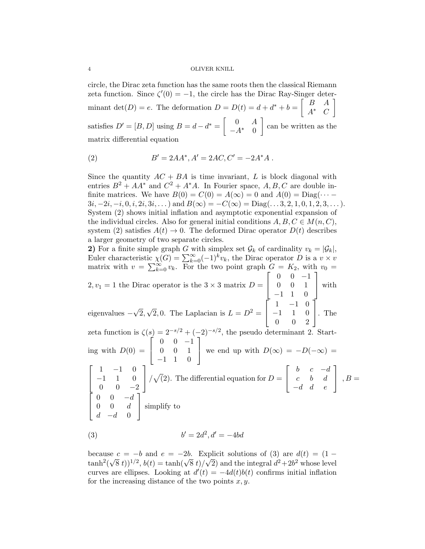circle, the Dirac zeta function has the same roots then the classical Riemann zeta function. Since  $\zeta'(0) = -1$ , the circle has the Dirac Ray-Singer determinant  $\det(D) = e$ . The deformation  $D = D(t) = d + d^* + b = \begin{bmatrix} B & A \\ A^* & C \end{bmatrix}$  $A^*$  C 1 satisfies  $D' = [B, D]$  using  $B = d - d^* = \begin{bmatrix} 0 & A \\ 0 & 0 \end{bmatrix}$  $-A^*$  0 can be written as the matrix differential equation

(2) 
$$
B' = 2AA^*, A' = 2AC, C' = -2A^*A.
$$

Since the quantity  $AC + BA$  is time invariant, L is block diagonal with entries  $B^2 + AA^*$  and  $C^2 + A^*A$ . In Fourier space, A, B, C are double infinite matrices. We have  $B(0) = C(0) = A(\infty) = 0$  and  $A(0) = \text{Diag}(\cdots 3i, -2i, -i, 0, i, 2i, 3i, \dots$ ) and  $B(\infty) = -C(\infty) = \text{Diag}(\dots, 3, 2, 1, 0, 1, 2, 3, \dots)$ . System (2) shows initial inflation and asymptotic exponential expansion of the individual circles. Also for general initial conditions  $A, B, C \in M(n, C)$ , system (2) satisfies  $A(t) \rightarrow 0$ . The deformed Dirac operator  $D(t)$  describes a larger geometry of two separate circles.

2) For a finite simple graph G with simplex set  $\mathcal{G}_k$  of cardinality  $v_k = |\mathcal{G}_k|$ , Euler characteristic  $\chi(G) = \sum_{k=0}^{\infty} (-1)^k v_k$ , the Dirac operator D is a  $v \times v$ matrix with  $v = \sum_{k=0}^{\infty} v_k$ . For the two point graph  $G = K_2$ , with  $v_0 =$  $2, v_1 = 1$  the Dirac operator is the  $3 \times 3$  matrix  $D =$  $\sqrt{ }$  $\overline{1}$  $0 \t 0 \t -1$ 0 0 1 −1 1 0 1 | with eigenvalues − √ 2,  $\sqrt{2}$ , 0. The Laplacian is  $L = D^2 =$  $\sqrt{ }$  $\overline{1}$ 1 −1 0 −1 1 0 0 0 2 1 . The zeta function is  $\zeta(s) = 2^{-s/2} + (-2)^{-s/2}$ , the pseudo determinant 2. Starting with  $D(0) =$  $\sqrt{ }$  $\overline{1}$  $0 \t 0 \t -1$ 0 0 1 −1 1 0 1 we end up with  $D(\infty) = -D(-\infty) =$  $\sqrt{ }$  $\overline{1}$ 1 −1 0  $-1$  1 0  $0 \t 0 \t -2$ 1  $\sqrt{(2)}$ . The differential equation for  $D =$  $\sqrt{ }$  $\overline{1}$ b  $c$   $-d$  $c$  b  $d$  $-d$  d e 1  $\Big\vert \ \ , B =$  $\sqrt{ }$  $\overline{1}$ 0 0  $-d$  $0 \quad 0 \quad d$  $d -d 0$ 1 simplify to

(3) 
$$
b' = 2d^2, d' = -4bd
$$

because  $c = -b$  and  $e = -2b$ . Explicit solutions of (3) are  $d(t) = (1$ because  $c = -b$  and  $e = -2b$ . Explicit solutions of (3) are  $a(t) = (1 - \tanh^2(\sqrt{8} t))^{1/2}$ ,  $b(t) = \tanh(\sqrt{8} t)/\sqrt{2}$  and the integral  $d^2 + 2b^2$  whose level curves are ellipses. Looking at  $d'(t) = -4d(t)b(t)$  confirms initial inflation for the increasing distance of the two points  $x, y$ .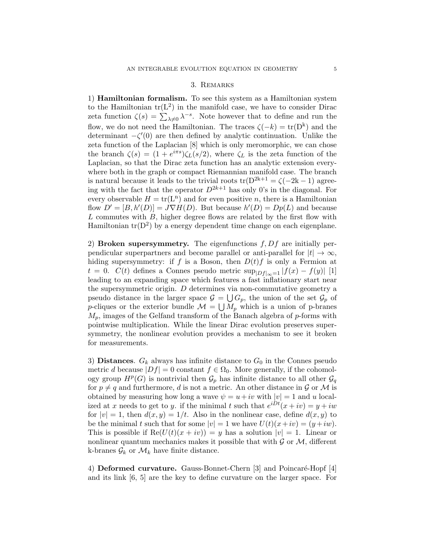#### 3. Remarks

1) Hamiltonian formalism. To see this system as a Hamiltonian system to the Hamiltonian  $tr(L^2)$  in the manifold case, we have to consider Dirac zeta function  $\zeta(s) = \sum_{\lambda \neq 0} \lambda^{-s}$ . Note however that to define and run the flow, we do not need the Hamiltonian. The traces  $\zeta(-k) = \text{tr}(D^k)$  and the determinant  $-\zeta'(0)$  are then defined by analytic continuation. Unlike the zeta function of the Laplacian [8] which is only meromorphic, we can chose the branch  $\zeta(s) = (1 + e^{i\pi s})\zeta_L(s/2)$ , where  $\zeta_L$  is the zeta function of the Laplacian, so that the Dirac zeta function has an analytic extension everywhere both in the graph or compact Riemannian manifold case. The branch is natural because it leads to the trivial roots  $tr(D^{2k+1} = \zeta(-2k-1))$  agreeing with the fact that the operator  $D^{2k+1}$  has only 0's in the diagonal. For every observable  $H = \text{tr}(\mathbf{L}^n)$  and for even positive n, there is a Hamiltonian flow  $D' = [B, h'(D)] = J\nabla H(D)$ . But because  $h'(D) = Dp(L)$  and because  $L$  commutes with  $B$ , higher degree flows are related by the first flow with Hamiltonian  $tr(D^2)$  by a energy dependent time change on each eigenplane.

2) Broken supersymmetry. The eigenfunctions  $f, Df$  are initially perpendicular superpartners and become parallel or anti-parallel for  $|t| \to \infty$ , hiding supersymmetry: if f is a Boson, then  $D(t)f$  is only a Fermion at  $t = 0$ .  $C(t)$  defines a Connes pseudo metric  $\sup_{|Df|_{\infty}=1} |f(x) - f(y)|$  [1] leading to an expanding space which features a fast inflationary start near the supersymmetric origin. D determines via non-commutative geometry a pseudo distance in the larger space  $\mathcal{G} = \bigcup G_p$ , the union of the set  $\mathcal{G}_p$  of p-cliques or the exterior bundle  $\mathcal{M} = \bigcup M_p$  which is a union of p-branes  $M_p$ , images of the Gelfand transform of the Banach algebra of  $p$ -forms with pointwise multiplication. While the linear Dirac evolution preserves supersymmetry, the nonlinear evolution provides a mechanism to see it broken for measurements.

3) Distances.  $G_k$  always has infinite distance to  $G_0$  in the Connes pseudo metric d because  $|Df| = 0$  constant  $f \in \Omega_0$ . More generally, if the cohomology group  $H^p(G)$  is nontrivial then  $\mathcal{G}_p$  has infinite distance to all other  $\mathcal{G}_q$ for  $p \neq q$  and furthermore, d is not a metric. An other distance in G or M is obtained by measuring how long a wave  $\psi = u + iv$  with  $|v| = 1$  and u localized at x needs to get to y. if the minimal t such that  $e^{iDt}(x+iv) = y + iw$ for  $|v| = 1$ , then  $d(x, y) = 1/t$ . Also in the nonlinear case, define  $d(x, y)$  to be the minimal t such that for some  $|v| = 1$  we have  $U(t)(x+iv) = (y + iw)$ . This is possible if  $\text{Re}(U(t)(x + iv)) = y$  has a solution  $|v| = 1$ . Linear or nonlinear quantum mechanics makes it possible that with  $\mathcal G$  or  $\mathcal M$ , different k-branes  $\mathcal{G}_k$  or  $\mathcal{M}_k$  have finite distance.

4) Deformed curvature. Gauss-Bonnet-Chern [3] and Poincaré-Hopf [4] and its link [6, 5] are the key to define curvature on the larger space. For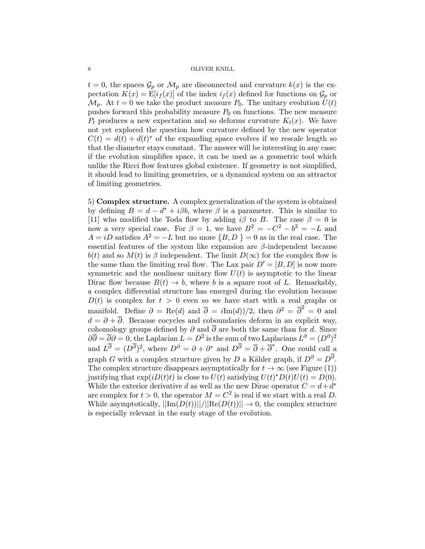$t = 0$ , the spaces  $\mathcal{G}_p$  or  $\mathcal{M}_p$  are disconnected and curvature  $k(x)$  is the expectation  $K(x) = E[i_f(x)]$  of the index  $i_f(x)$  defined for functions on  $\mathcal{G}_p$  or  $\mathcal{M}_p$ . At  $t = 0$  we take the product measure  $P_0$ . The unitary evolution  $U(t)$ pushes forward this probability measure  $P_0$  on functions. The new measure  $P_t$  produces a new expectation and so deforms curvature  $K_t(x)$ . We have not yet explored the question how curvature defined by the new operator  $C(t) = d(t) + d(t)^*$  of the expanding space evolves if we rescale length so that the diameter stays constant. The answer will be interesting in any case: if the evolution simplifies space, it can be used as a geometric tool which unlike the Ricci flow features global existence. If geometry is not simplified, it should lead to limiting geometries, or a dynamical system on an attractor of limiting geometries.

5) Complex structure. A complex generalization of the system is obtained by defining  $B = d - d^* + i\beta b$ , where  $\beta$  is a parameter. This is similar to [11] who modified the Toda flow by adding  $i\beta$  to B. The case  $\beta = 0$  is now a very special case. For  $\beta = 1$ , we have  $B^2 = -C^2 - b^2 = -L$  and  $A = iD$  satisfies  $A^2 = -L$  but no more  $\{B, D\} = 0$  as in the real case. The essential features of the system like expansion are β-independent because  $b(t)$  and so  $M(t)$  is  $\beta$  independent. The limit  $D(\infty)$  for the complex flow is the same than the limiting real flow. The Lax pair  $D' = [B, D]$  is now more symmetric and the nonlinear unitary flow  $U(t)$  is asymptotic to the linear Dirac flow because  $B(t) \rightarrow b$ , where b is a square root of L. Remarkably, a complex differential structure has emerged during the evolution because  $D(t)$  is complex for  $t > 0$  even so we have start with a real graphs or manifold. Define  $\partial = \text{Re}(d)$  and  $\overline{\partial} = i\text{Im}(d)/2$ , then  $\partial^2 = \overline{\partial}^2 = 0$  and  $d = \partial + \overline{\partial}$ . Because cocycles and coboundaries deform in an explicit way, cohomology groups defined by  $\partial$  and  $\overline{\partial}$  are both the same than for d. Since  $\partial \overline{\partial} = \overline{\partial} \partial = 0$ , the Laplacian  $L = D^2$  is the sum of two Laplacians  $L^{\partial} = (D^{\partial})^2$ and  $L^{\overline{\partial}} = (D^{\overline{\partial}})^2$ , where  $D^{\partial} = \partial + \partial^*$  and  $D^{\overline{\partial}} = \overline{\partial} + \overline{\partial}^*$ . One could call a graph G with a complex structure given by D a Kähler graph, if  $D^{\partial} = D^{\partial}$ . The complex structure disappears asymptotically for  $t \to \infty$  (see Figure (1)) justifying that  $\exp(iD(t)t)$  is close to  $U(t)$  satisfying  $U(t)^*D(t)U(t) = D(0)$ . While the exterior derivative d as well as the new Dirac operator  $C = d + d^*$ are complex for  $t > 0$ , the operator  $M = C^2$  is real if we start with a real D. While asymptotically,  $||\text{Im}(D(t))||/||\text{Re}(D(t))|| \rightarrow 0$ , the complex structure is especially relevant in the early stage of the evolution.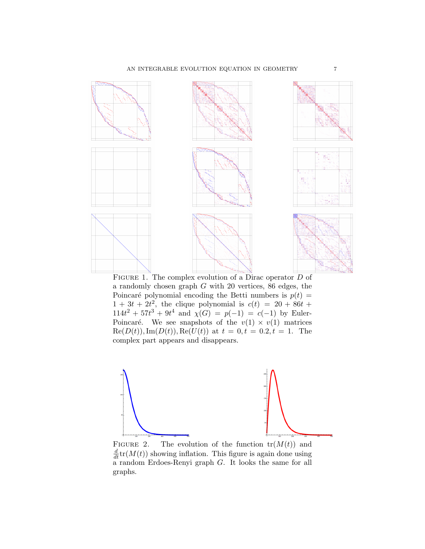

FIGURE 1. The complex evolution of a Dirac operator D of a randomly chosen graph G with 20 vertices, 86 edges, the Poincaré polynomial encoding the Betti numbers is  $p(t) =$  $1 + 3t + 2t^2$ , the clique polynomial is  $c(t) = 20 + 86t +$  $114t^2 + 57t^3 + 9t^4$  and  $\chi(G) = p(-1) = c(-1)$  by Euler-Poincaré. We see snapshots of the  $v(1) \times v(1)$  matrices  $\text{Re}(D(t)), \text{Im}(D(t)), \text{Re}(U(t))$  at  $t = 0, t = 0.2, t = 1$ . The complex part appears and disappears.



FIGURE 2. The evolution of the function  $tr(M(t))$  and  $\frac{d}{dt}\text{tr}(M(t))$  showing inflation. This figure is again done using  $a$  random Erdoes-Renyi graph  $G$ . It looks the same for all graphs.